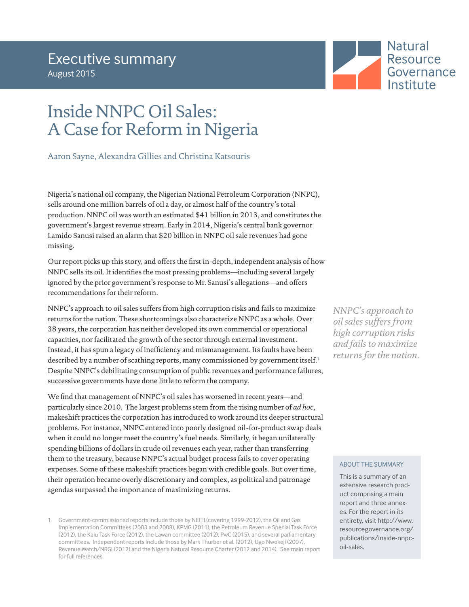

# Inside NNPC Oil Sales: A Case for Reform in Nigeria

Aaron Sayne, Alexandra Gillies and Christina Katsouris

Nigeria's national oil company, the Nigerian National Petroleum Corporation (NNPC), sells around one million barrels of oil a day, or almost half of the country's total production. NNPC oil was worth an estimated \$41 billion in 2013, and constitutes the government's largest revenue stream. Early in 2014, Nigeria's central bank governor Lamido Sanusi raised an alarm that \$20 billion in NNPC oil sale revenues had gone missing.

Our report picks up this story, and offers the first in-depth, independent analysis of how NNPC sells its oil. It identifies the most pressing problems—including several largely ignored by the prior government's response to Mr. Sanusi's allegations—and offers recommendations for their reform.

NNPC's approach to oil sales suffers from high corruption risks and fails to maximize returns for the nation. These shortcomings also characterize NNPC as a whole. Over 38 years, the corporation has neither developed its own commercial or operational capacities, nor facilitated the growth of the sector through external investment. Instead, it has spun a legacy of inefficiency and mismanagement. Its faults have been described by a number of scathing reports, many commissioned by government itself.<sup>1</sup> Despite NNPC's debilitating consumption of public revenues and performance failures, successive governments have done little to reform the company.

We find that management of NNPC's oil sales has worsened in recent years—and particularly since 2010. The largest problems stem from the rising number of *ad hoc*, makeshift practices the corporation has introduced to work around its deeper structural problems. For instance, NNPC entered into poorly designed oil-for-product swap deals when it could no longer meet the country's fuel needs. Similarly, it began unilaterally spending billions of dollars in crude oil revenues each year, rather than transferring them to the treasury, because NNPC's actual budget process fails to cover operating expenses. Some of these makeshift practices began with credible goals. But over time, their operation became overly discretionary and complex, as political and patronage agendas surpassed the importance of maximizing returns.

*NNPC's approach to oil sales suffers from high corruption risks and fails to maximize returns for the nation.*

### ABOUT THE SUMMARY

This is a summary of an extensive research product comprising a main report and three annexes. For the report in its entirety, visit [http://www.](http://www.resourcegovernance.org/publications/inside-nnpc-oil-sales) [resourcegovernance.org/](http://www.resourcegovernance.org/publications/inside-nnpc-oil-sales) [publications/inside-nnpc](http://www.resourcegovernance.org/publications/inside-nnpc-oil-sales)[oil-sales.](http://www.resourcegovernance.org/publications/inside-nnpc-oil-sales)

<sup>1</sup> Government-commissioned reports include those by NEITI (covering 1999-2012), the Oil and Gas Implementation Committees (2003 and 2008), KPMG (2011), the Petroleum Revenue Special Task Force (2012), the Kalu Task Force (2012), the Lawan committee (2012), PwC (2015), and several parliamentary committees. Independent reports include those by Mark Thurber et al. (2012), Ugo Nwokeji (2007), Revenue Watch/NRGI (2012) and the Nigeria Natural Resource Charter (2012 and 2014). See main report for full references.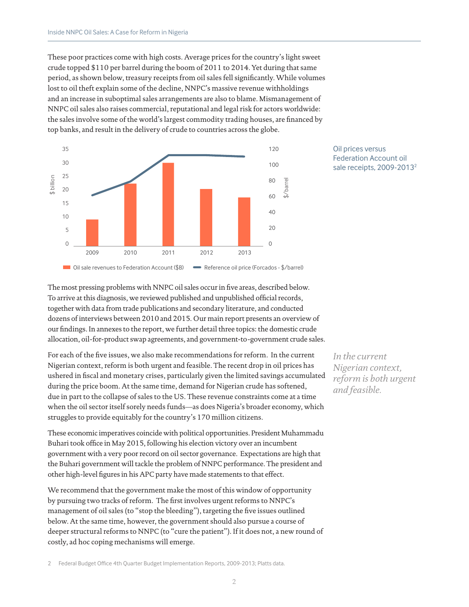These poor practices come with high costs. Average prices for the country's light sweet crude topped \$110 per barrel during the boom of 2011 to 2014. Yet during that same period, as shown below, treasury receipts from oil sales fell significantly. While volumes lost to oil theft explain some of the decline, NNPC's massive revenue withholdings and an increase in suboptimal sales arrangements are also to blame. Mismanagement of NNPC oil sales also raises commercial, reputational and legal risk for actors worldwide: the sales involve some of the world's largest commodity trading houses, are financed by top banks, and result in the delivery of crude to countries across the globe.





The most pressing problems with NNPC oil sales occur in five areas, described below. To arrive at this diagnosis, we reviewed published and unpublished official records, together with data from trade publications and secondary literature, and conducted dozens of interviews between 2010 and 2015. Our main report presents an overview of our findings. In annexes to the report, we further detail three topics: the domestic crude allocation, oil-for-product swap agreements, and government-to-government crude sales.

For each of the five issues, we also make recommendations for reform. In the current Nigerian context, reform is both urgent and feasible. The recent drop in oil prices has ushered in fiscal and monetary crises, particularly given the limited savings accumulated during the price boom. At the same time, demand for Nigerian crude has softened, due in part to the collapse of sales to the US. These revenue constraints come at a time when the oil sector itself sorely needs funds—as does Nigeria's broader economy, which struggles to provide equitably for the country's 170 million citizens.

These economic imperatives coincide with political opportunities. President Muhammadu Buhari took office in May 2015, following his election victory over an incumbent government with a very poor record on oil sector governance. Expectations are high that the Buhari government will tackle the problem of NNPC performance. The president and other high-level figures in his APC party have made statements to that effect.

We recommend that the government make the most of this window of opportunity by pursuing two tracks of reform. The first involves urgent reforms to NNPC's management of oil sales (to "stop the bleeding"), targeting the five issues outlined below. At the same time, however, the government should also pursue a course of deeper structural reforms to NNPC (to "cure the patient"). If it does not, a new round of costly, ad hoc coping mechanisms will emerge.

*In the current Nigerian context, reform is both urgent and feasible.*

2 Federal Budget Office 4th Quarter Budget Implementation Reports, 2009-2013; Platts data.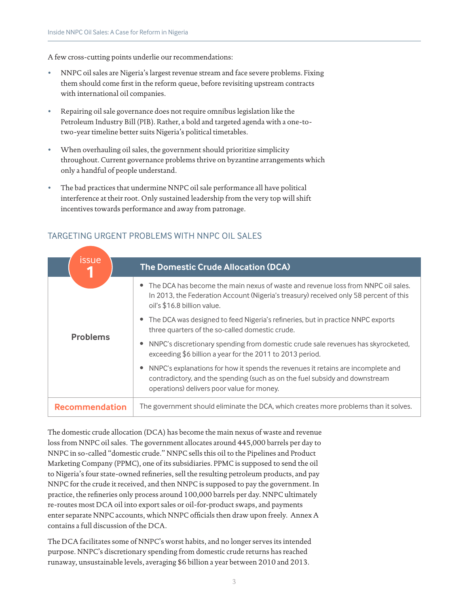A few cross-cutting points underlie our recommendations:

- NNPC oil sales are Nigeria's largest revenue stream and face severe problems. Fixing them should come first in the reform queue, before revisiting upstream contracts with international oil companies.
- Repairing oil sale governance does not require omnibus legislation like the Petroleum Industry Bill (PIB). Rather, a bold and targeted agenda with a one-totwo-year timeline better suits Nigeria's political timetables.
- When overhauling oil sales, the government should prioritize simplicity throughout. Current governance problems thrive on byzantine arrangements which only a handful of people understand.
- The bad practices that undermine NNPC oil sale performance all have political interference at their root. Only sustained leadership from the very top will shift incentives towards performance and away from patronage.

| <b>issue</b>          | <b>The Domestic Crude Allocation (DCA)</b>                                                                                                                                                                    |
|-----------------------|---------------------------------------------------------------------------------------------------------------------------------------------------------------------------------------------------------------|
|                       | • The DCA has become the main nexus of waste and revenue loss from NNPC oil sales.<br>In 2013, the Federation Account (Nigeria's treasury) received only 58 percent of this<br>oil's \$16.8 billion value.    |
|                       | • The DCA was designed to feed Nigeria's refineries, but in practice NNPC exports<br>three quarters of the so-called domestic crude.                                                                          |
| <b>Problems</b>       | NNPC's discretionary spending from domestic crude sale revenues has skyrocketed,<br>exceeding \$6 billion a year for the 2011 to 2013 period.                                                                 |
|                       | NNPC's explanations for how it spends the revenues it retains are incomplete and<br>contradictory, and the spending (such as on the fuel subsidy and downstream<br>operations) delivers poor value for money. |
| <b>Recommendation</b> | The government should eliminate the DCA, which creates more problems than it solves.                                                                                                                          |

# TARGETING URGENT PROBLEMS WITH NNPC OIL SALES

The domestic crude allocation (DCA) has become the main nexus of waste and revenue loss from NNPC oil sales. The government allocates around 445,000 barrels per day to NNPC in so-called "domestic crude." NNPC sells this oil to the Pipelines and Product Marketing Company (PPMC), one of its subsidiaries. PPMC is supposed to send the oil to Nigeria's four state-owned refineries, sell the resulting petroleum products, and pay NNPC for the crude it received, and then NNPC is supposed to pay the government. In practice, the refineries only process around 100,000 barrels per day. NNPC ultimately re-routes most DCA oil into export sales or oil-for-product swaps, and payments enter separate NNPC accounts, which NNPC officials then draw upon freely. Annex A contains a full discussion of the DCA.

The DCA facilitates some of NNPC's worst habits, and no longer serves its intended purpose. NNPC's discretionary spending from domestic crude returns has reached runaway, unsustainable levels, averaging \$6 billion a year between 2010 and 2013.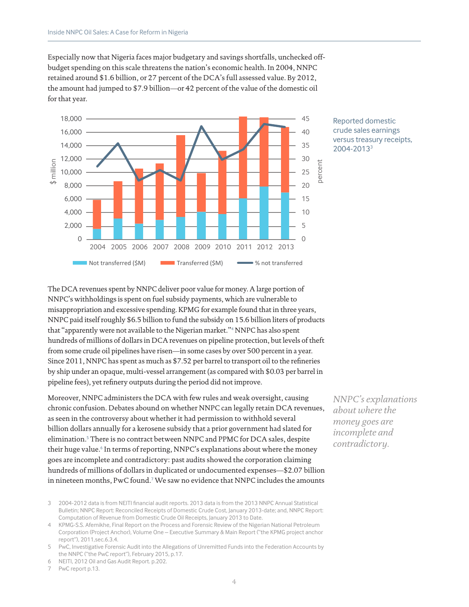Especially now that Nigeria faces major budgetary and savings shortfalls, unchecked offbudget spending on this scale threatens the nation's economic health. In 2004, NNPC retained around \$1.6 billion, or 27 percent of the DCA's full assessed value. By 2012, the amount had jumped to \$7.9 billion—or 42 percent of the value of the domestic oil for that year.



Reported domestic crude sales earnings versus treasury receipts, 2004-20133

The DCA revenues spent by NNPC deliver poor value for money. A large portion of NNPC's withholdings is spent on fuel subsidy payments, which are vulnerable to misappropriation and excessive spending. KPMG for example found that in three years, NNPC paid itself roughly \$6.5 billion to fund the subsidy on 15.6 billion liters of products that "apparently were not available to the Nigerian market."<sup>4</sup> NNPC has also spent hundreds of millions of dollars in DCA revenues on pipeline protection, but levels of theft from some crude oil pipelines have risen—in some cases by over 500 percent in a year. Since 2011, NNPC has spent as much as \$7.52 per barrel to transport oil to the refineries by ship under an opaque, multi-vessel arrangement (as compared with \$0.03 per barrel in pipeline fees), yet refinery outputs during the period did not improve.

Moreover, NNPC administers the DCA with few rules and weak oversight, causing chronic confusion. Debates abound on whether NNPC can legally retain DCA revenues, as seen in the controversy about whether it had permission to withhold several billion dollars annually for a kerosene subsidy that a prior government had slated for elimination.<sup>5</sup> There is no contract between NNPC and PPMC for DCA sales, despite their huge value.<sup>6</sup> In terms of reporting, NNPC's explanations about where the money goes are incomplete and contradictory: past audits showed the corporation claiming hundreds of millions of dollars in duplicated or undocumented expenses—\$2.07 billion in nineteen months, PwC found.<sup>7</sup> We saw no evidence that NNPC includes the amounts

7 PwC report p.13.

*NNPC's explanations about where the money goes are incomplete and contradictory.*

<sup>3 2004-2012</sup> data is from NEITI financial audit reports. 2013 data is from the 2013 NNPC Annual Statistical Bulletin; NNPC Report: Reconciled Receipts of Domestic Crude Cost, January 2013-date; and, NNPC Report: Computation of Revenue from Domestic Crude Oil Receipts, January 2013 to Date.

<sup>4</sup> KPMG-S.S. Afemikhe, Final Report on the Process and Forensic Review of the Nigerian National Petroleum Corporation (Project Anchor), Volume One – Executive Summary & Main Report ("the KPMG project anchor report"), 2011,sec.6.3.4.

<sup>5</sup> PwC, Investigative Forensic Audit into the Allegations of Unremitted Funds into the Federation Accounts by the NNPC ("the PwC report"), February 2015, p.17.

<sup>6</sup> NEITI, 2012 Oil and Gas Audit Report. p.202.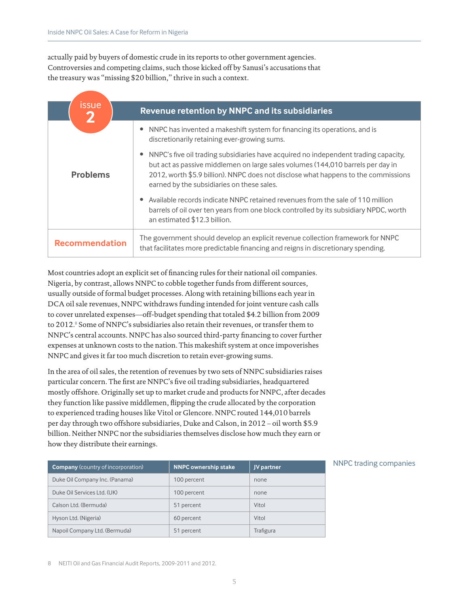actually paid by buyers of domestic crude in its reports to other government agencies. Controversies and competing claims, such those kicked off by Sanusi's accusations that the treasury was "missing \$20 billion," thrive in such a context.

| <b>issue</b><br>2     | Revenue retention by NNPC and its subsidiaries                                                                                                                                                                                                                                                             |
|-----------------------|------------------------------------------------------------------------------------------------------------------------------------------------------------------------------------------------------------------------------------------------------------------------------------------------------------|
|                       | NNPC has invented a makeshift system for financing its operations, and is<br>discretionarily retaining ever-growing sums.                                                                                                                                                                                  |
| <b>Problems</b>       | NNPC's five oil trading subsidiaries have acquired no independent trading capacity,<br>but act as passive middlemen on large sales volumes (144,010 barrels per day in<br>2012, worth \$5.9 billion). NNPC does not disclose what happens to the commissions<br>earned by the subsidiaries on these sales. |
|                       | Available records indicate NNPC retained revenues from the sale of 110 million<br>barrels of oil over ten years from one block controlled by its subsidiary NPDC, worth<br>an estimated \$12.3 billion.                                                                                                    |
| <b>Recommendation</b> | The government should develop an explicit revenue collection framework for NNPC<br>that facilitates more predictable financing and reigns in discretionary spending.                                                                                                                                       |

Most countries adopt an explicit set of financing rules for their national oil companies. Nigeria, by contrast, allows NNPC to cobble together funds from different sources, usually outside of formal budget processes. Along with retaining billions each year in DCA oil sale revenues, NNPC withdraws funding intended for joint venture cash calls to cover unrelated expenses—off-budget spending that totaled \$4.2 billion from 2009 to 2012.<sup>8</sup> Some of NNPC's subsidiaries also retain their revenues, or transfer them to NNPC's central accounts. NNPC has also sourced third-party financing to cover further expenses at unknown costs to the nation. This makeshift system at once impoverishes NNPC and gives it far too much discretion to retain ever-growing sums.

In the area of oil sales, the retention of revenues by two sets of NNPC subsidiaries raises particular concern. The first are NNPC's five oil trading subsidiaries, headquartered mostly offshore. Originally set up to market crude and products for NNPC, after decades they function like passive middlemen, flipping the crude allocated by the corporation to experienced trading houses like Vitol or Glencore. NNPC routed 144,010 barrels per day through two offshore subsidiaries, Duke and Calson, in 2012 – oil worth \$5.9 billion. Neither NNPC nor the subsidiaries themselves disclose how much they earn or how they distribute their earnings.

| <b>Company</b> (country of incorporation) | <b>NNPC ownership stake</b> | JV partner |
|-------------------------------------------|-----------------------------|------------|
| Duke Oil Company Inc. (Panama)            | 100 percent                 | none       |
| Duke Oil Services Ltd. (UK)               | 100 percent                 | none       |
| Calson Ltd. (Bermuda)                     | 51 percent                  | Vitol      |
| Hyson Ltd. (Nigeria)                      | 60 percent                  | Vitol      |
| Napoil Company Ltd. (Bermuda)             | 51 percent                  | Trafigura  |

#### NNPC trading companies

8 NEITI Oil and Gas Financial Audit Reports, 2009-2011 and 2012.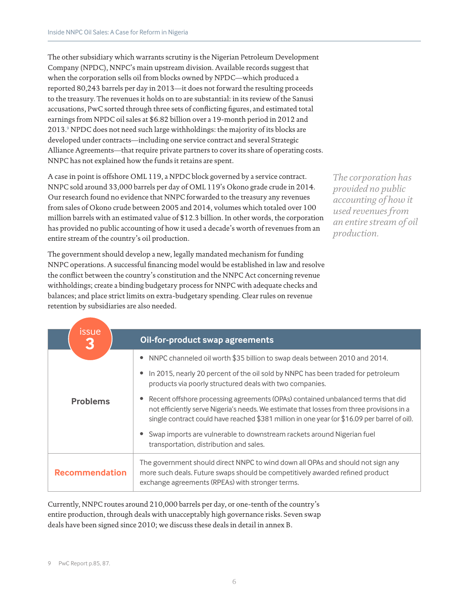The other subsidiary which warrants scrutiny is the Nigerian Petroleum Development Company (NPDC), NNPC's main upstream division. Available records suggest that when the corporation sells oil from blocks owned by NPDC—which produced a reported 80,243 barrels per day in 2013—it does not forward the resulting proceeds to the treasury. The revenues it holds on to are substantial: in its review of the Sanusi accusations, PwC sorted through three sets of conflicting figures, and estimated total earnings from NPDC oil sales at \$6.82 billion over a 19-month period in 2012 and 2013.<sup>9</sup> NPDC does not need such large withholdings: the majority of its blocks are developed under contracts—including one service contract and several Strategic Alliance Agreements—that require private partners to cover its share of operating costs. NNPC has not explained how the funds it retains are spent.

A case in point is offshore OML 119, a NPDC block governed by a service contract. NNPC sold around 33,000 barrels per day of OML 119's Okono grade crude in 2014. Our research found no evidence that NNPC forwarded to the treasury any revenues from sales of Okono crude between 2005 and 2014, volumes which totaled over 100 million barrels with an estimated value of \$12.3 billion. In other words, the corporation has provided no public accounting of how it used a decade's worth of revenues from an entire stream of the country's oil production.

*The corporation has provided no public accounting of how it used revenues from an entire stream of oil production.*

The government should develop a new, legally mandated mechanism for funding NNPC operations. A successful financing model would be established in law and resolve the conflict between the country's constitution and the NNPC Act concerning revenue withholdings; create a binding budgetary process for NNPC with adequate checks and balances; and place strict limits on extra-budgetary spending. Clear rules on revenue retention by subsidiaries are also needed.

| <b>issue</b>          |                                                                                                                                                                                                                                                                               |  |
|-----------------------|-------------------------------------------------------------------------------------------------------------------------------------------------------------------------------------------------------------------------------------------------------------------------------|--|
| 3                     | Oil-for-product swap agreements                                                                                                                                                                                                                                               |  |
|                       | • NNPC channeled oil worth \$35 billion to swap deals between 2010 and 2014.                                                                                                                                                                                                  |  |
|                       | • In 2015, nearly 20 percent of the oil sold by NNPC has been traded for petroleum<br>products via poorly structured deals with two companies.                                                                                                                                |  |
| <b>Problems</b>       | Recent offshore processing agreements (OPAs) contained unbalanced terms that did<br>not efficiently serve Nigeria's needs. We estimate that losses from three provisions in a<br>single contract could have reached \$381 million in one year (or \$16.09 per barrel of oil). |  |
|                       | Swap imports are vulnerable to downstream rackets around Nigerian fuel<br>transportation, distribution and sales.                                                                                                                                                             |  |
| <b>Recommendation</b> | The government should direct NNPC to wind down all OPAs and should not sign any<br>more such deals. Future swaps should be competitively awarded refined product<br>exchange agreements (RPEAs) with stronger terms.                                                          |  |

Currently, NNPC routes around 210,000 barrels per day, or one-tenth of the country's entire production, through deals with unacceptably high governance risks. Seven swap deals have been signed since 2010; we discuss these deals in detail in annex B.

<sup>9</sup> PwC Report p.85, 87.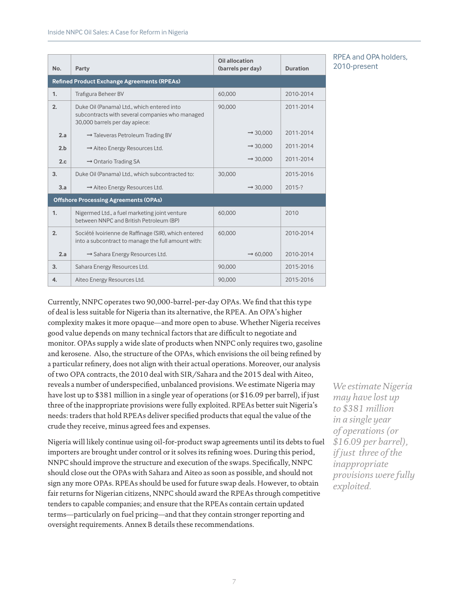| No.                                          | Party                                                                                                                           | Oil allocation<br>(barrels per day) | <b>Duration</b> |  |  |
|----------------------------------------------|---------------------------------------------------------------------------------------------------------------------------------|-------------------------------------|-----------------|--|--|
|                                              | <b>Refined Product Exchange Agreements (RPEAs)</b>                                                                              |                                     |                 |  |  |
| 1.                                           | <b>Trafigura Beheer BV</b>                                                                                                      | 60.000                              | 2010-2014       |  |  |
| 2.                                           | Duke Oil (Panama) Ltd., which entered into<br>subcontracts with several companies who managed<br>30,000 barrels per day apiece: | 90.000                              | 2011-2014       |  |  |
| 2.a                                          | $\rightarrow$ Taleveras Petroleum Trading BV                                                                                    | $\rightarrow$ 30.000                | 2011-2014       |  |  |
| 2.b                                          | $\rightarrow$ Aiteo Energy Resources Ltd.                                                                                       | $\rightarrow$ 30.000                | 2011-2014       |  |  |
| 2.c                                          | $\rightarrow$ Ontario Trading SA                                                                                                | $\rightarrow$ 30.000                | 2011-2014       |  |  |
| 3.                                           | Duke Oil (Panama) Ltd., which subcontracted to:                                                                                 | 30,000                              | 2015-2016       |  |  |
| 3.a                                          | $\rightarrow$ Aiteo Energy Resources Ltd.                                                                                       | $\rightarrow$ 30.000                | 2015-?          |  |  |
| <b>Offshore Processing Agreements (OPAs)</b> |                                                                                                                                 |                                     |                 |  |  |
| 1.                                           | Nigermed Ltd., a fuel marketing joint venture<br>between NNPC and British Petroleum (BP)                                        | 60.000                              | 2010            |  |  |
| 2.                                           | Société Ivoirienne de Raffinage (SIR), which entered<br>into a subcontract to manage the full amount with:                      | 60.000                              | 2010-2014       |  |  |
| 2.a                                          | $\rightarrow$ Sahara Energy Resources Ltd.                                                                                      | $\rightarrow 60,000$                | 2010-2014       |  |  |
| 3.                                           | Sahara Energy Resources Ltd.                                                                                                    | 90,000                              | 2015-2016       |  |  |
| 4.                                           | Aiteo Energy Resources Ltd.                                                                                                     | 90.000                              | 2015-2016       |  |  |

### RPEA and OPA holders, 2010-present

Currently, NNPC operates two 90,000-barrel-per-day OPAs. We find that this type of deal is less suitable for Nigeria than its alternative, the RPEA. An OPA's higher complexity makes it more opaque—and more open to abuse. Whether Nigeria receives good value depends on many technical factors that are difficult to negotiate and monitor. OPAs supply a wide slate of products when NNPC only requires two, gasoline and kerosene. Also, the structure of the OPAs, which envisions the oil being refined by a particular refinery, does not align with their actual operations. Moreover, our analysis of two OPA contracts, the 2010 deal with SIR/Sahara and the 2015 deal with Aiteo, reveals a number of underspecified, unbalanced provisions. We estimate Nigeria may have lost up to \$381 million in a single year of operations (or \$16.09 per barrel), if just three of the inappropriate provisions were fully exploited. RPEAs better suit Nigeria's needs: traders that hold RPEAs deliver specified products that equal the value of the crude they receive, minus agreed fees and expenses.

Nigeria will likely continue using oil-for-product swap agreements until its debts to fuel importers are brought under control or it solves its refining woes. During this period, NNPC should improve the structure and execution of the swaps. Specifically, NNPC should close out the OPAs with Sahara and Aiteo as soon as possible, and should not sign any more OPAs. RPEAs should be used for future swap deals. However, to obtain fair returns for Nigerian citizens, NNPC should award the RPEAs through competitive tenders to capable companies; and ensure that the RPEAs contain certain updated terms—particularly on fuel pricing—and that they contain stronger reporting and oversight requirements. Annex B details these recommendations.

*We estimate Nigeria may have lost up to \$381 million in a single year of operations (or \$16.09 per barrel), if just three of the inappropriate provisions were fully exploited.*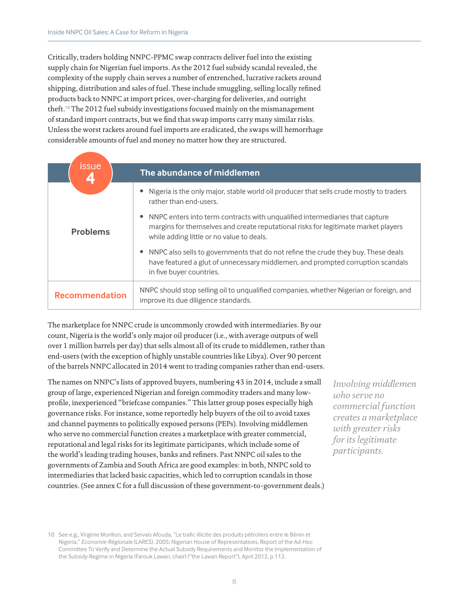Critically, traders holding NNPC-PPMC swap contracts deliver fuel into the existing supply chain for Nigerian fuel imports. As the 2012 fuel subsidy scandal revealed, the complexity of the supply chain serves a number of entrenched, lucrative rackets around shipping, distribution and sales of fuel. These include smuggling, selling locally refined products back to NNPC at import prices, over-charging for deliveries, and outright theft.<sup>10</sup> The 2012 fuel subsidy investigations focused mainly on the mismanagement of standard import contracts, but we find that swap imports carry many similar risks. Unless the worst rackets around fuel imports are eradicated, the swaps will hemorrhage considerable amounts of fuel and money no matter how they are structured.

| <b>issue</b><br>4     | The abundance of middlemen                                                                                                                                                                                      |
|-----------------------|-----------------------------------------------------------------------------------------------------------------------------------------------------------------------------------------------------------------|
|                       | Nigeria is the only major, stable world oil producer that sells crude mostly to traders<br>rather than end-users.                                                                                               |
| <b>Problems</b>       | NNPC enters into term contracts with unqualified intermediaries that capture<br>margins for themselves and create reputational risks for legitimate market players<br>while adding little or no value to deals. |
|                       | NNPC also sells to governments that do not refine the crude they buy. These deals<br>have featured a glut of unnecessary middlemen, and prompted corruption scandals<br>in five buyer countries.                |
| <b>Recommendation</b> | NNPC should stop selling oil to unqualified companies, whether Nigerian or foreign, and<br>improve its due diligence standards.                                                                                 |

The marketplace for NNPC crude is uncommonly crowded with intermediaries. By our count, Nigeria is the world's only major oil producer (i.e., with average outputs of well over 1 million barrels per day) that sells almost all of its crude to middlemen, rather than end-users (with the exception of highly unstable countries like Libya). Over 90 percent of the barrels NNPC allocated in 2014 went to trading companies rather than end-users.

The names on NNPC's lists of approved buyers, numbering 43 in 2014, include a small group of large, experienced Nigerian and foreign commodity traders and many lowprofile, inexperienced "briefcase companies." This latter group poses especially high governance risks. For instance, some reportedly help buyers of the oil to avoid taxes and channel payments to politically exposed persons (PEPs). Involving middlemen who serve no commercial function creates a marketplace with greater commercial, reputational and legal risks for its legitimate participants, which include some of the world's leading trading houses, banks and refiners. Past NNPC oil sales to the governments of Zambia and South Africa are good examples: in both, NNPC sold to intermediaries that lacked basic capacities, which led to corruption scandals in those countries. (See annex C for a full discussion of these government-to-government deals.)

*Involving middlemen who serve no commercial function creates a marketplace with greater risks for its legitimate participants.*

<sup>10</sup> See e.g., Virginie Morillon, and Servais Afouda, "Le trafic illicite des produits pétroliers entre le Bénin et Nigeria," *Economie Régionale* (LARES), 2005; Nigerian House of Representatives, Report of the Ad-Hoc Committee To Verify and Determine the Actual Subsidy Requirements and Monitor the Implementation of the Subsidy Regime in Nigeria (Farouk Lawan, chair) ("the Lawan Report"), April 2012, p.112.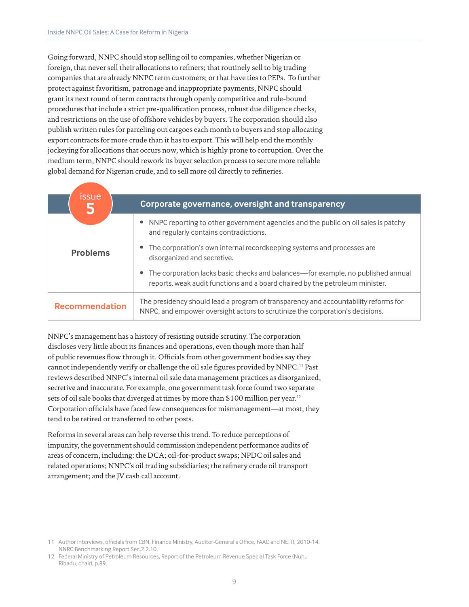Going forward, NNPC should stop selling oil to companies, whether Nigerian or foreign, that never sell their allocations to refiners; that routinely sell to big trading companies that are already NNPC term customers; or that have ties to PEPs. To further protect against favoritism, patronage and inappropriate payments, NNPC should grant its next round of term contracts through openly competitive and rule-bound procedures that include a strict pre-qualification process, robust due diligence checks, and restrictions on the use of offshore vehicles by buyers. The corporation should also publish written rules for parceling out cargoes each month to buyers and stop allocating export contracts for more crude than it has to export. This will help end the monthly jockeying for allocations that occurs now, which is highly prone to corruption. Over the medium term, NNPC should rework its buyer selection process to secure more reliable global demand for Nigerian crude, and to sell more oil directly to refineries.

| issue<br>5            | Corporate governance, oversight and transparency                                                                                                                     |
|-----------------------|----------------------------------------------------------------------------------------------------------------------------------------------------------------------|
|                       | NNPC reporting to other government agencies and the public on oil sales is patchy<br>and regularly contains contradictions.                                          |
| <b>Problems</b>       | The corporation's own internal recordkeeping systems and processes are<br>disorganized and secretive.                                                                |
|                       | • The corporation lacks basic checks and balances—for example, no published annual<br>reports, weak audit functions and a board chaired by the petroleum minister.   |
| <b>Recommendation</b> | The presidency should lead a program of transparency and accountability reforms for<br>NNPC, and empower oversight actors to scrutinize the corporation's decisions. |

NNPC's management has a history of resisting outside scrutiny. The corporation discloses very little about its finances and operations, even though more than half of public revenues flow through it. Officials from other government bodies say they cannot independently verify or challenge the oil sale figures provided by NNPC.<sup>11</sup> Past reviews described NNPC's internal oil sale data management practices as disorganized, secretive and inaccurate. For example, one government task force found two separate sets of oil sale books that diverged at times by more than \$100 million per year.<sup>12</sup> Corporation officials have faced few consequences for mismanagement—at most, they tend to be retired or transferred to other posts.

Reforms in several areas can help reverse this trend. To reduce perceptions of impunity, the government should commission independent performance audits of areas of concern, including: the DCA; oil-for-product swaps; NPDC oil sales and related operations; NNPC's oil trading subsidiaries; the refinery crude oil transport arrangement; and the JV cash call account.

<sup>11</sup> Author interviews, officials from CBN, Finance Ministry, Auditor-General's Office, FAAC and NEITI, 2010-14. NNRC Benchmarking Report Sec.2.2.10.

<sup>12</sup> Federal Ministry of Petroleum Resources, Report of the Petroleum Revenue Special Task Force (Nuhu Ribadu, chair), p.89.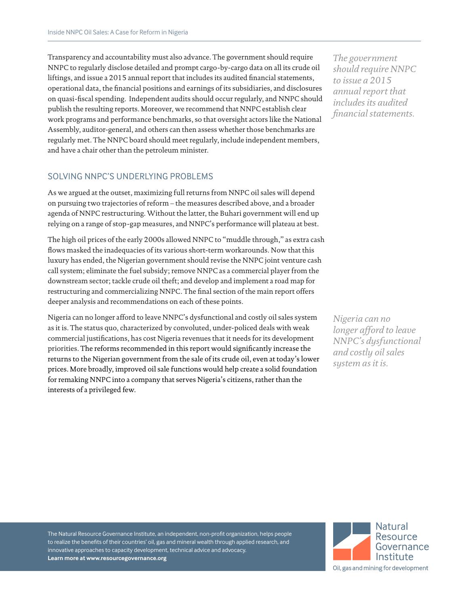Transparency and accountability must also advance. The government should require NNPC to regularly disclose detailed and prompt cargo-by-cargo data on all its crude oil liftings, and issue a 2015 annual report that includes its audited financial statements, operational data, the financial positions and earnings of its subsidiaries, and disclosures on quasi-fiscal spending. Independent audits should occur regularly, and NNPC should publish the resulting reports. Moreover, we recommend that NNPC establish clear work programs and performance benchmarks, so that oversight actors like the National Assembly, auditor-general, and others can then assess whether those benchmarks are regularly met. The NNPC board should meet regularly, include independent members, and have a chair other than the petroleum minister.

## SOLVING NNPC'S UNDERLYING PROBLEMS

As we argued at the outset, maximizing full returns from NNPC oil sales will depend on pursuing two trajectories of reform – the measures described above, and a broader agenda of NNPC restructuring. Without the latter, the Buhari government will end up relying on a range of stop-gap measures, and NNPC's performance will plateau at best.

The high oil prices of the early 2000s allowed NNPC to "muddle through," as extra cash flows masked the inadequacies of its various short-term workarounds. Now that this luxury has ended, the Nigerian government should revise the NNPC joint venture cash call system; eliminate the fuel subsidy; remove NNPC as a commercial player from the downstream sector; tackle crude oil theft; and develop and implement a road map for restructuring and commercializing NNPC. The final section of the main report offers deeper analysis and recommendations on each of these points.

Nigeria can no longer afford to leave NNPC's dysfunctional and costly oil sales system as it is. The status quo, characterized by convoluted, under-policed deals with weak commercial justifications, has cost Nigeria revenues that it needs for its development priorities. The reforms recommended in this report would significantly increase the returns to the Nigerian government from the sale of its crude oil, even at today's lower prices. More broadly, improved oil sale functions would help create a solid foundation for remaking NNPC into a company that serves Nigeria's citizens, rather than the interests of a privileged few.

*The government should require NNPC to issue a 2015 annual report that includes its audited financial statements.*

*Nigeria can no longer afford to leave NNPC's dysfunctional and costly oil sales system as it is.*

The Natural Resource Governance Institute, an independent, non-profit organization, helps people to realize the benefits of their countries' oil, gas and mineral wealth through applied research, and innovative approaches to capacity development, technical advice and advocacy. **Learn more at [www.resourcegovernance.org](http://www.resourcegovernance.org)**